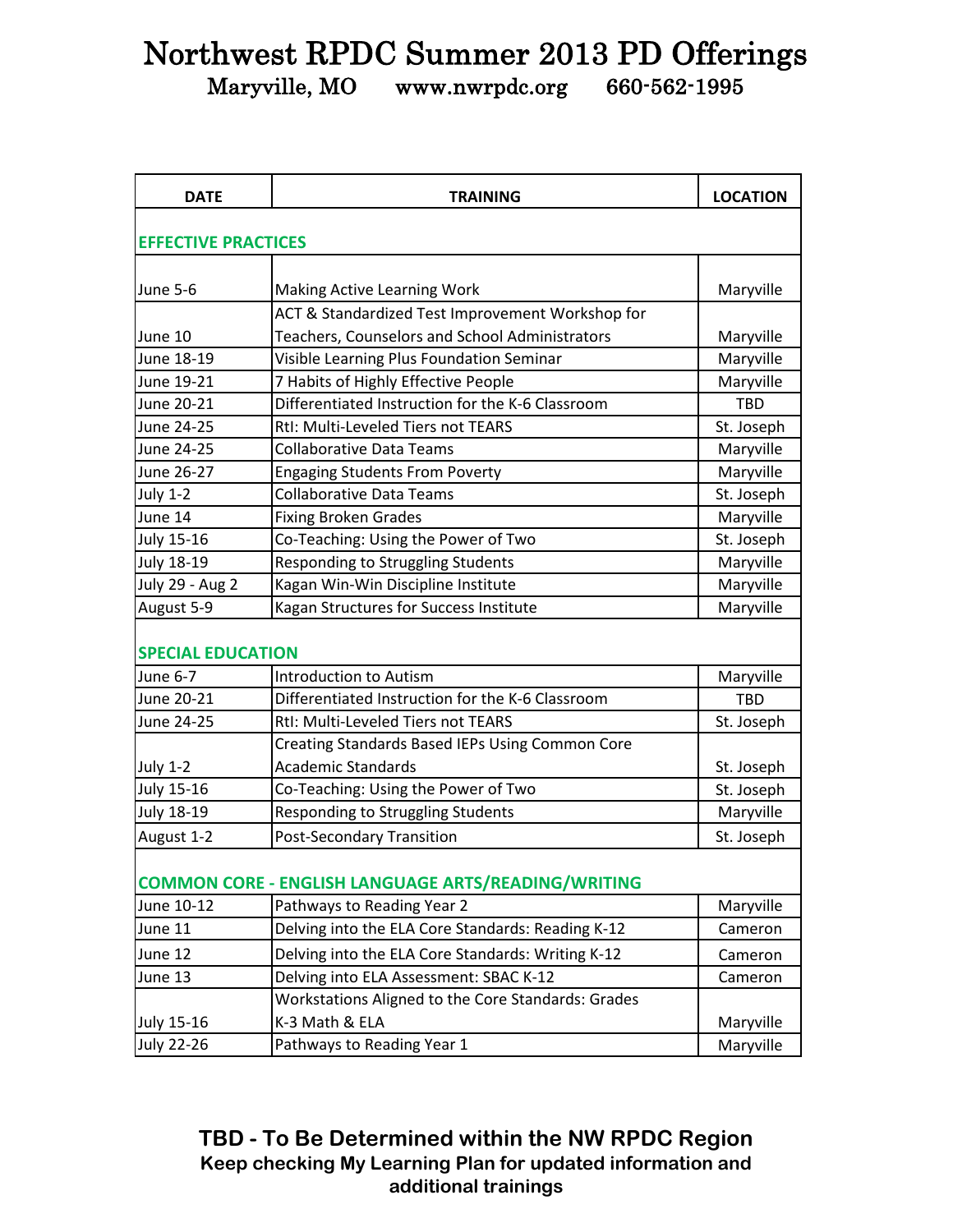## Northwest RPDC Summer 2013 PD Offerings

Maryville, MO www.nwrpdc.org 660-562-1995

| <b>DATE</b>                                                | <b>TRAINING</b>                                    | <b>LOCATION</b> |  |  |
|------------------------------------------------------------|----------------------------------------------------|-----------------|--|--|
|                                                            |                                                    |                 |  |  |
| <b>EFFECTIVE PRACTICES</b>                                 |                                                    |                 |  |  |
| June 5-6                                                   | <b>Making Active Learning Work</b>                 | Maryville       |  |  |
|                                                            | ACT & Standardized Test Improvement Workshop for   |                 |  |  |
| June 10                                                    | Teachers, Counselors and School Administrators     | Maryville       |  |  |
| June 18-19                                                 | Visible Learning Plus Foundation Seminar           | Maryville       |  |  |
| June 19-21                                                 | 7 Habits of Highly Effective People                | Maryville       |  |  |
| June 20-21                                                 | Differentiated Instruction for the K-6 Classroom   | <b>TBD</b>      |  |  |
| June 24-25                                                 | RtI: Multi-Leveled Tiers not TEARS                 | St. Joseph      |  |  |
| June 24-25                                                 | <b>Collaborative Data Teams</b>                    | Maryville       |  |  |
| June 26-27                                                 | <b>Engaging Students From Poverty</b>              | Maryville       |  |  |
| <b>July 1-2</b>                                            | <b>Collaborative Data Teams</b>                    | St. Joseph      |  |  |
| June 14                                                    | <b>Fixing Broken Grades</b>                        | Maryville       |  |  |
| <b>July 15-16</b>                                          | Co-Teaching: Using the Power of Two                | St. Joseph      |  |  |
| <b>July 18-19</b>                                          | Responding to Struggling Students                  | Maryville       |  |  |
| July 29 - Aug 2                                            | Kagan Win-Win Discipline Institute                 | Maryville       |  |  |
| August 5-9                                                 | Kagan Structures for Success Institute             | Maryville       |  |  |
| <b>SPECIAL EDUCATION</b>                                   |                                                    |                 |  |  |
| <b>June 6-7</b>                                            | <b>Introduction to Autism</b>                      | Maryville       |  |  |
| June 20-21                                                 | Differentiated Instruction for the K-6 Classroom   | <b>TBD</b>      |  |  |
| June 24-25                                                 | RtI: Multi-Leveled Tiers not TEARS                 | St. Joseph      |  |  |
|                                                            | Creating Standards Based IEPs Using Common Core    |                 |  |  |
| <b>July 1-2</b>                                            | <b>Academic Standards</b>                          | St. Joseph      |  |  |
| <b>July 15-16</b>                                          | Co-Teaching: Using the Power of Two                | St. Joseph      |  |  |
| <b>July 18-19</b>                                          | Responding to Struggling Students                  | Maryville       |  |  |
| August 1-2                                                 | <b>Post-Secondary Transition</b>                   | St. Joseph      |  |  |
| <b>COMMON CORE - ENGLISH LANGUAGE ARTS/READING/WRITING</b> |                                                    |                 |  |  |
| June 10-12                                                 | Pathways to Reading Year 2                         | Maryville       |  |  |
| June 11                                                    | Delving into the ELA Core Standards: Reading K-12  | Cameron         |  |  |
| June 12                                                    | Delving into the ELA Core Standards: Writing K-12  | Cameron         |  |  |
| June 13                                                    | Delving into ELA Assessment: SBAC K-12             | Cameron         |  |  |
|                                                            | Workstations Aligned to the Core Standards: Grades |                 |  |  |
| July 15-16                                                 | K-3 Math & ELA                                     | Maryville       |  |  |
| <b>July 22-26</b>                                          | Pathways to Reading Year 1                         | Maryville       |  |  |

**TBD - To Be Determined within the NW RPDC Region Keep checking My Learning Plan for updated information and additional trainings**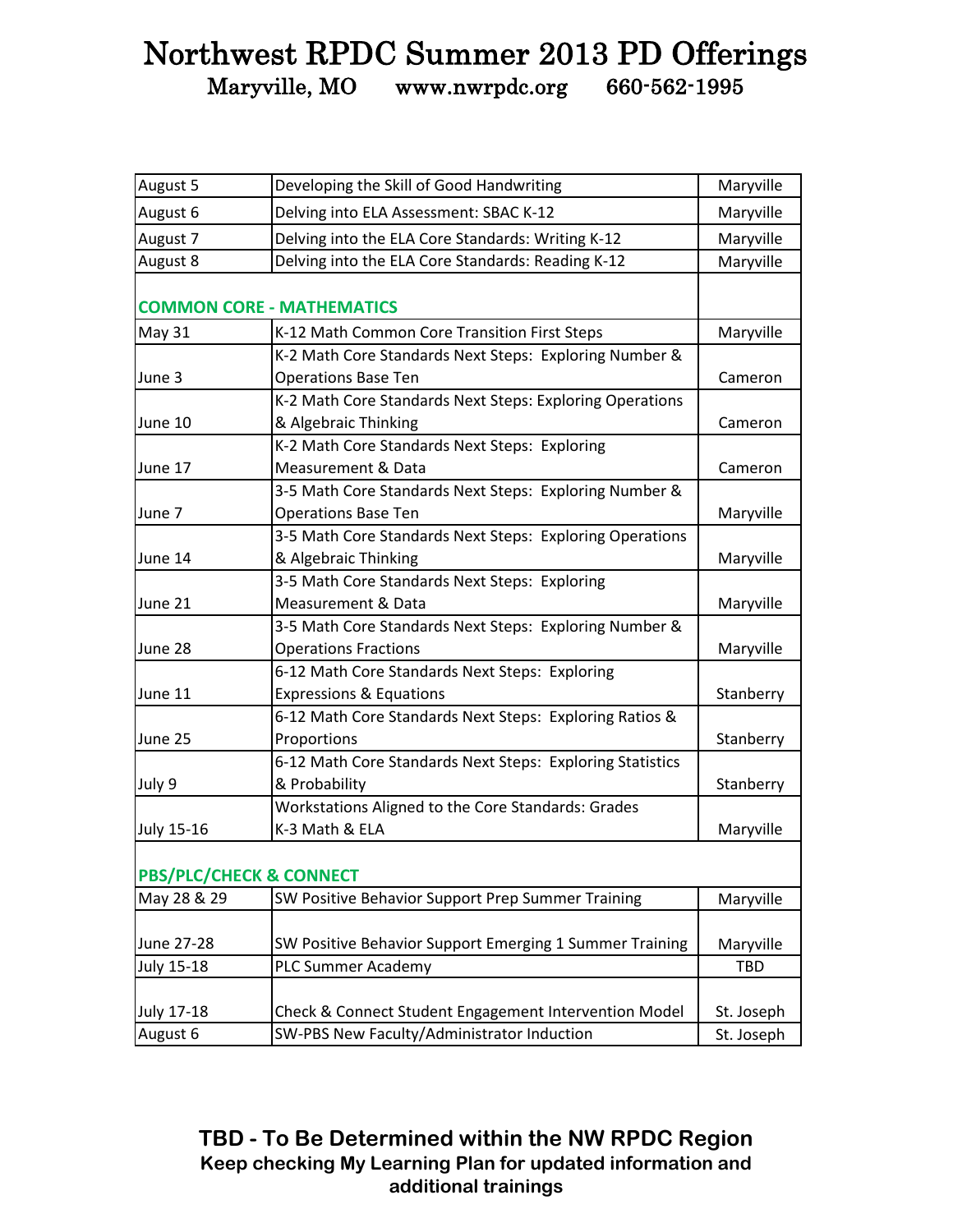## Northwest RPDC Summer 2013 PD Offerings Maryville, MO www.nwrpdc.org 660-562-1995

| August 5                           | Developing the Skill of Good Handwriting                                              | Maryville  |
|------------------------------------|---------------------------------------------------------------------------------------|------------|
| August 6                           | Delving into ELA Assessment: SBAC K-12                                                | Maryville  |
| August 7                           | Delving into the ELA Core Standards: Writing K-12                                     | Maryville  |
| August 8                           | Delving into the ELA Core Standards: Reading K-12                                     | Maryville  |
|                                    | <b>COMMON CORE - MATHEMATICS</b>                                                      |            |
| May 31                             | K-12 Math Common Core Transition First Steps                                          | Maryville  |
| June 3                             | K-2 Math Core Standards Next Steps: Exploring Number &<br><b>Operations Base Ten</b>  | Cameron    |
| June 10                            | K-2 Math Core Standards Next Steps: Exploring Operations<br>& Algebraic Thinking      | Cameron    |
| June 17                            | K-2 Math Core Standards Next Steps: Exploring<br>Measurement & Data                   | Cameron    |
| June 7                             | 3-5 Math Core Standards Next Steps: Exploring Number &<br><b>Operations Base Ten</b>  | Maryville  |
| June 14                            | 3-5 Math Core Standards Next Steps: Exploring Operations<br>& Algebraic Thinking      | Maryville  |
| June 21                            | 3-5 Math Core Standards Next Steps: Exploring<br><b>Measurement &amp; Data</b>        | Maryville  |
| June 28                            | 3-5 Math Core Standards Next Steps: Exploring Number &<br><b>Operations Fractions</b> | Maryville  |
| June 11                            | 6-12 Math Core Standards Next Steps: Exploring<br><b>Expressions &amp; Equations</b>  | Stanberry  |
| June 25                            | 6-12 Math Core Standards Next Steps: Exploring Ratios &<br>Proportions                | Stanberry  |
| July 9                             | 6-12 Math Core Standards Next Steps: Exploring Statistics<br>& Probability            | Stanberry  |
| <b>July 15-16</b>                  | Workstations Aligned to the Core Standards: Grades<br>K-3 Math & ELA                  | Maryville  |
| <b>PBS/PLC/CHECK &amp; CONNECT</b> |                                                                                       |            |
| May 28 & 29                        | SW Positive Behavior Support Prep Summer Training                                     | Maryville  |
| June 27-28                         | SW Positive Behavior Support Emerging 1 Summer Training                               | Maryville  |
| <b>July 15-18</b>                  | <b>PLC Summer Academy</b>                                                             | <b>TBD</b> |
| <b>July 17-18</b>                  | Check & Connect Student Engagement Intervention Model                                 | St. Joseph |
| August 6                           | SW-PBS New Faculty/Administrator Induction                                            | St. Joseph |

**TBD - To Be Determined within the NW RPDC Region Keep checking My Learning Plan for updated information and additional trainings**